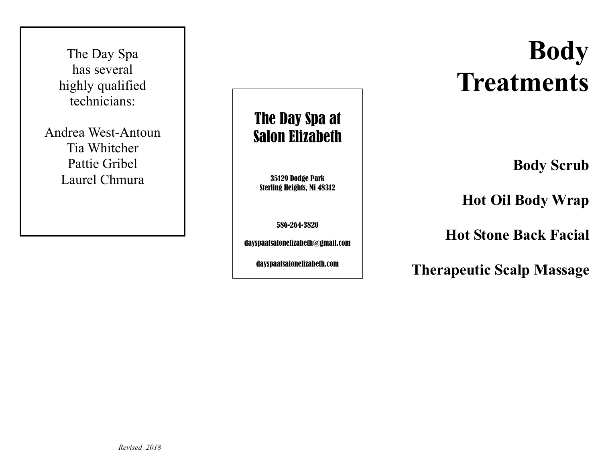The Day Spa has several highly qualified technicians:

Andrea West-Antoun Tia Whitcher Pattie Gribel Laurel Chmura

# The Day Spa at Salon Elizabeth

35129 Dodge Park Sterling Heights, Mi 48312

586-264-3820

dayspaatsalonelizabeth@gmail.com

dayspaatsalonelizabeth.com

# **Body Treatments**

**Body Scrub** 

**Hot Oil Body Wrap** 

**Hot Stone Back Facial** 

**Therapeutic Scalp Massage**